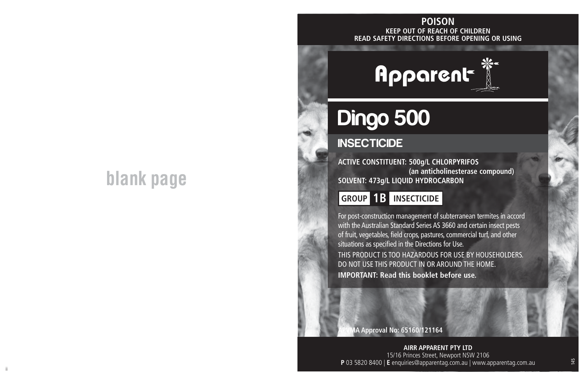# **blank page**

## **KEEP OUT OF REACH OF CHILDREN READ SAFETY DIRECTIONS BEFORE OPENING OR USING POISON**



# Dingo 500

## **INSECTICIDE**

**ACTIVE CONSTITUENT: 500g/L CHLORPYRIFOS (an anticholinesterase compound) SOLVENT: 473g/L LIQUID HYDROCARBON**

**GROUP 1B INSECTICIDE**

For post-construction management of subterranean termites in accord with the Australian Standard Series AS 3660 and certain insect pests of fruit, vegetables, field crops, pastures, commercial turf, and other situations as specified in the Directions for Use. THIS PRODUCT IS TOO HAZARDOUS FOR USE BY HOUSEHOLDERS. DO NOT USE THIS PRODUCT IN OR AROUND THE HOME. **IMPORTANT: Read this booklet before use.**

**APVMA Approval No: 65160/121164**

ii aastad oo dhaqaala iyo dadka waxaa laga sadanka waxaa laga sadanka waxaa laga sadanka waxaa laga sadanka wa **AIRR APPARENT PTY LTD** 15/16 Princes Street, Newport NSW 2106 **P** 03 5820 8400 | **E** enquiries@apparentag.com.au | www.apparentag.com.au

145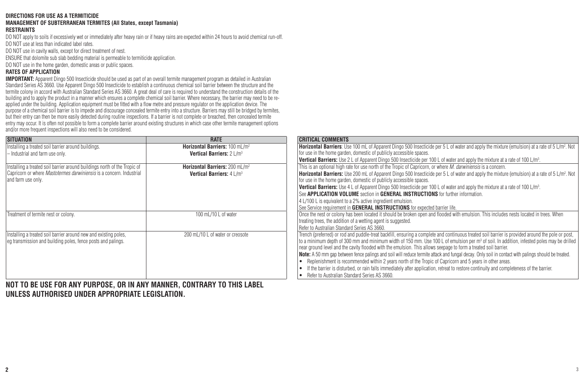#### **DIRECTIONS FOR USE AS A TERMITICIDE**

#### **MANAGEMENT OF SUBTERRANEAN TERMITES (All States, except Tasmania) RESTRAINTS**

DO NOT apply to soils if excessively wet or immediately after heavy rain or if heavy rains are expected within 24 hours to avoid chemical run-off. DO NOT use at less than indicated label rates.

DO NOT use in cavity walls, except for direct treatment of nest.

ENSURE that dolomite sub slab bedding material is permeable to termiticide application.

DO NOT use in the home garden, domestic areas or public spaces.

#### **RATES OF APPLICATION**

**IMPORTANT:** Apparent Dingo 500 Insecticide should be used as part of an overall termite management program as detailed in Australian Standard Series AS 3660. Use Apparent Dingo 500 Insecticide to establish a continuous chemical soil barrier between the structure and the termite colony in accord with Australian Standard Series AS 3660. A great deal of care is required to understand the construction details of the building and to apply the product in a manner which ensures a complete chemical soil barrier. Where necessary, the barrier may need to be reapplied under the building. Application equipment must be fitted with a flow metre and pressure regulator on the application device. The purpose of a chemical soil barrier is to impede and discourage concealed termite entry into a structure. Barriers may still be bridged by termites, but their entry can then be more easily detected during routine inspections. If a barrier is not complete or breached, then concealed termite entry may occur. It is often not possible to form a complete barrier around existing structures in which case other termite management options and/or more frequent inspections will also need to be considered.

| <b>SITUATION</b>                                                            | <b>RATE</b>                                 | <b>CRITICAL COMMENTS</b>                                                                                                                                         |
|-----------------------------------------------------------------------------|---------------------------------------------|------------------------------------------------------------------------------------------------------------------------------------------------------------------|
| Installing a treated soil barrier around buildings.                         | Horizontal Barriers: 100 mL/m <sup>2</sup>  | Horizontal Barriers: Use 100 mL of Apparent Dingo 500 Insecticide per 5 L of water and apply the mixture (emulsion) at a rate of 5 L/m <sup>2</sup> . Not        |
| - Industrial and farm use only.                                             | Vertical Barriers: 2 L/m <sup>3</sup>       | for use in the home garden, domestic of publicly accessible spaces.                                                                                              |
|                                                                             |                                             | <b>Vertical Barriers:</b> Use 2 L of Apparent Dingo 500 Insecticide per 100 L of water and apply the mixture at a rate of 100 L/m <sup>3</sup> .                 |
| Installing a treated soil barrier around buildings north of the Tropic of   | Horizontal Barriers: 200 ml /m <sup>2</sup> | This is an optional high rate for use north of the Tropic of Capricorn, or where <i>M. darwiniensis</i> is a concern.                                            |
| Capricorn or where <i>Mastotermes darwiniensis</i> is a concern. Industrial | Vertical Barriers: 4 L/m <sup>3</sup>       | <b>Horizontal Barriers:</b> Use 200 mL of Apparent Dingo 500 Insecticide per 5 L of water and apply the mixture (emulsion) at a rate of 5 L/m <sup>2</sup> . Not |
| and farm use only.                                                          |                                             | for use in the home garden, domestic of publicly accessible spaces.                                                                                              |
|                                                                             |                                             | <b>Vertical Barriers:</b> Use 4 L of Apparent Dingo 500 Insecticide per 100 L of water and apply the mixture at a rate of 100 L/m <sup>3</sup> .                 |
|                                                                             |                                             | See APPLICATION VOLUME section in GENERAL INSTRUCTIONS for further information.                                                                                  |
|                                                                             |                                             | 4 L/100 L is equivalent to a 2% active ingredient emulsion.                                                                                                      |
|                                                                             |                                             | See Service requirement in <b>GENERAL INSTRUCTIONS</b> for expected barrier life.                                                                                |
| Treatment of termite nest or colony.                                        | 100 mL/10 L of water                        | Once the nest or colony has been located it should be broken open and flooded with emulsion. This includes nests located in trees. When                          |
|                                                                             |                                             | treating trees, the addition of a wetting agent is suggested.                                                                                                    |
|                                                                             |                                             | Refer to Australian Standard Series AS 3660.                                                                                                                     |
| Installing a treated soil barrier around new and existing poles,            | 200 mL/10 L of water or creosote            | Trench (preferred) or rod and puddle-treat backfill, ensuring a complete and continuous treated soil barrier is provided around the pole or post,                |
| eq transmission and building poles, fence posts and palings.                |                                             | to a minimum depth of 300 mm and minimum width of 150 mm. Use 100 L of emulsion per m <sup>3</sup> of soil. In addition, infested poles may be drilled           |
|                                                                             |                                             | near ground level and the cavity flooded with the emulsion. This allows seepage to form a treated soil barrier.                                                  |
|                                                                             |                                             | Note: A 50 mm gap between fence palings and soil will reduce termite attack and fungal decay. Only soil in contact with palings should be treated.               |
|                                                                             |                                             | • Replenishment is recommended within 2 years north of the Tropic of Capricorn and 5 years in other areas.                                                       |
|                                                                             |                                             | If the barrier is disturbed, or rain falls immediately after application, retreat to restore continuity and completeness of the barrier.                         |
|                                                                             |                                             | • Refer to Australian Standard Series AS 3660.                                                                                                                   |

**NOT TO BE USE FOR ANY PURPOSE, OR IN ANY MANNER, CONTRARY TO THIS LABEL UNLESS AUTHORISED UNDER APPROPRIATE LEGISLATION.**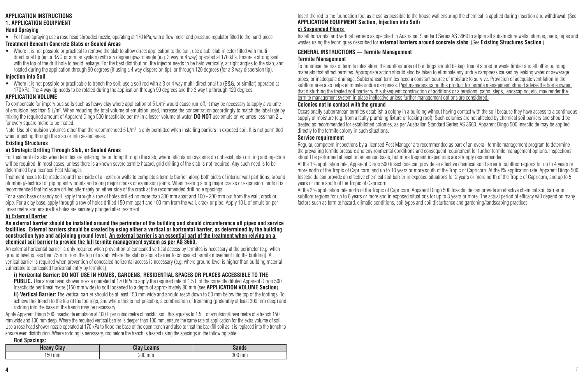#### **APPLICATION INSTRUCTIONS**

#### **1. APPLICATION EQUIPMENT**

#### **Hand Spraying**

• For hand spraying use a rose head shrouded nozzle, operating at 170 kPa, with a flow meter and pressure regulator fitted to the hand-piece. **Treatment Beneath Concrete Slabs or Sealed Areas**

• Where it is not possible or practical to remove the slab to allow direct application to the soil, use a sub-slab injector fitted with multidirectional tip (eg. a B&G or similar system) with a 5 degree upward angle (e.g. 3 way or 4 way) operated at 170 kPa. Ensure a strong seal with the top of the drill hole to avoid leakage. For the best distribution, the injector needs to be held vertically, at right angles to the slab, and rotated during the application through 90 degrees (if using a 4 way dispersion tip), or through 120 degrees (for a 3 way dispersion tip).

#### **Injection into Soil**

• Where it is not possible or practicable to trench the soil; use a soil rod with a 3 or 4 way multi-directional tip (B&G, or similar) operated at 170 kPa. The 4 way tip needs to be rotated during the application through 90 degrees and the 3 way tip through 120 degrees.

#### **APPLICATION VOLUME**

Io compensate for impervious soils such as heavy clay where application of 5 L/m<sup>2</sup> would cause run-off, it may be necessary to apply a volume of emulsion less than 5 L/m². When reducing the total volume of emulsion used, increase the concentration accordingly to match the label rate by mixing the required amount of Apparent Dingo 500 Insecticide per m<sup>2</sup> in a lesser volume of water. **DO NOT** use emulsion volumes less than 2 L for every square metre to be treated.

Note: Use of emulsion volumes other than the recommended 5 L/m² is only permitted when installing barriers in exposed soil. It is not permitted when injecting through the slab or into sealed areas.

#### **Existing Structures**

#### **a) Strategic Drilling Through Slab, or Sealed Areas**

For treatment of slabs when termites are entering the building through the slab, where reticulation systems do not exist, slab drilling and injection will be required. In most cases, unless there is a known severe termite hazard, grid drilling of the slab is not required. Any such need is to be determined by a licensed Pest Manager.

Treatment needs to be made around the inside of all exterior walls to complete a termite barrier, along both sides of interior wall partitions, around plumbing/electrical or piping entry points and along major cracks or expansion joints. When treating along major cracks or expansion joints it is recommended that holes are drilled alternately on either side of the crack at the recommended drill hole spacings.

For a sand base or sandy soil, apply through a row of holes drilled no more than 300 mm apart and 100 - 200 mm out from the wall, crack or pipe. For a clay base, apply through a row of holes drilled 150 mm apart and 100 mm from the wall, crack or pipe. Apply 10 L of emulsion per linear metre and ensure the holes are securely plugged after treatment.

#### **b) External Barrier**

**An external barrier should be installed around the perimeter of the building and should circumference all pipes and service facilities. External barriers should be created by using either a vertical or horizontal barrier, as determined by the building construction type and adjoining ground level. An external barrier is an essential part of the treatment when relying on a chemical soil barrier to provide the full termite management system as per AS 3660.**

An external horizontal barrier is only required when prevention of concealed vertical access by termites is necessary at the perimeter (e.g. when ground level is less than 75 mm from the top of a slab, where the slab is also a barrier to concealed termite movement into the building). A vertical barrier is required when prevention of concealed horizontal access is necessary (e.g. where ground level is higher than building material vulnerable to concealed horizontal entry by termites).

#### **i) Horizontal Barrier: DO NOT USE IN HOMES, GARDENS, RESIDENTIAL SPACES OR PLACES ACCESSIBLE TO THE**

**PUBLIC.** Use a rose head shower nozzle operated at 170 kPa to apply the required rate of 1.5 L of the correctly diluted Apparent Dingo 500 Insecticide per lineal metre (150 mm wide) to soil loosened to a depth of approximately 80 mm (see **APPLICATION VOLUME Section**).

**ii) Vertical Barrier:** The vertical barrier should be at least 150 mm wide and should reach down to 50 mm below the top of the footings. To achieve this trench to the top of the footings, and where this is not possible, a combination of trenching (preferably at least 300 mm deep) and rodding into the base of the trench may be necessary.

Apply Apparent Dingo 500 Insecticide emulsion at 100 L per cubic metre of backfill soil, this equates to 1.5 L of emulsion/linear metre of a trench 150 mm wide and 100 mm deep. Where the required vertical barrier is deeper than 100 mm, ensure the same rate of application for the extra volume of soil. Use a rose head shower nozzle operated at 170 kPa to flood the base of the open trench and also to treat the backfill soil as it is replaced into the trench to ensure even distribution. Where rodding is necessary, rod before the trench is treated using the spacings in the following table.

#### **Rod Spacings:**

| Heavy<br><b>Clav</b> | Clay<br>.oams |        |
|----------------------|---------------|--------|
| 150 mm               | 200 mm        | 300 mm |

Insert the rod to the foundation foot as close as possible to the house wall ensuring the chemical is applied during insertion and withdrawal. (See **APPLICATION EQUIPMENT Section, Injection into Soil**)

#### **c) Suspended Floors**

Install horizontal and vertical barriers as specified in Australian Standard Series AS 3660 to adjoin all substructure walls, stumps, piers, pipes and wastes using the techniques described for **external barriers around concrete slabs**. (See **Existing Structures Section**.)

#### **GENERAL INSTRUCTIONS — Termite Management Termite Management**

To minimise the risk of termite infestation, the subfloor area of buildings should be kept free of stored or waste timber and all other building materials that attract termites. Appropriate action should also be taken to eliminate any undue dampness caused by leaking water or sewerage pipes, or inadequate drainage. Subterranean termites need a constant source of moisture to survive. Provision of adequate ventilation in the subfloor area also helps eliminate undue dampness. Pest managers using this product for termite management should advise the home owner that disturbing the treated soil barrier with subsequent construction of additions or alterations, paths, steps, landscaping, etc, may render the termite management system in place ineffective unless further management options are considered.

#### **Colonies not in contact with the ground**

Occasionally subterranean termites establish a colony in a building without having contact with the soil because they have access to a continuous supply of moisture (e.g. from a faulty plumbing fixture or leaking roof). Such colonies are not affected by chemical soil barriers and should be treated as recommended for established colonies, as per Australian Standard Series AS 3660. Apparent Dingo 500 Insecticide may be applied directly to the termite colony in such situations.

#### **Service requirement**

Regular, competent inspections by a licensed Pest Manager are recommended as part of an overall termite management program to determine the prevailing termite pressure and environmental conditions and consequent requirement for further termite management options. Inspections should be performed at least on an annual basis, but more frequent inspections are strongly recommended.

At the 1% application rate, Apparent Dingo 500 Insecticide can provide an effective chemical soil barrier in subfloor regions for up to 4 years or more north of the Tropic of Capricorn, and up to 10 years or more south of the Tropic of Capricorn. At the I% application rate, Apparent Dingo 500 Insecticide can provide an effective chemical soil barrier in exposed situations for 2 years or more north of the Tropic of Capricorn, and up to 5 years or more south of the Tropic of Capricorn.

At the 2% application rate north of the Tropic of Capricorn, Apparent Dingo 500 Insecticide can provide an effective chemical soil barrier in subfloor regions for up to 6 years or more and in exposed situations for up to 3 years or more. The actual period of efficacy will depend on many factors such as termite hazard, climatic conditions, soil types and soil disturbance and gardening/landscaping practices.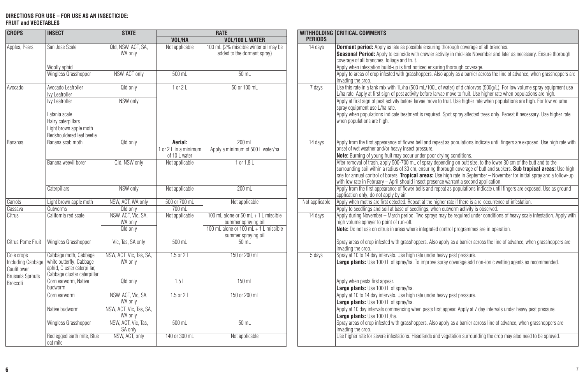#### **DIRECTIONS FOR USE – FOR USE AS AN INSECTICIDE: FRUIT and VEGETABLES**

| <b>CROPS</b>                                                              | <b>INSECT</b>                                                                                                   | <b>STATE</b>                       | <b>RATE</b>                                       |                                                                      |                | WITHHOLDING CRITICAL COMMENTS                                                                                                                                                                                                                                                                                                                                                                                                                                          |
|---------------------------------------------------------------------------|-----------------------------------------------------------------------------------------------------------------|------------------------------------|---------------------------------------------------|----------------------------------------------------------------------|----------------|------------------------------------------------------------------------------------------------------------------------------------------------------------------------------------------------------------------------------------------------------------------------------------------------------------------------------------------------------------------------------------------------------------------------------------------------------------------------|
|                                                                           |                                                                                                                 |                                    | VOL/HA                                            | <b>VOL/100 L WATER</b>                                               | <b>PERIODS</b> |                                                                                                                                                                                                                                                                                                                                                                                                                                                                        |
| Apples, Pears                                                             | San Jose Scale<br>Woolly aphid                                                                                  | Qld, NSW, ACT, SA,<br>WA only      | Not applicable                                    | 100 mL (2% miscible winter oil may be<br>added to the dormant spray) | 14 days        | <b>Dormant period:</b> Apply as late as possible ensuring thorough coverage of all branches.<br>Seasonal Period: Apply to coincide with crawler activity in mid-late November and later as necessary. Ensure thorough<br>coverage of all branches, foliage and fruit.<br>Apply when infestation build-up is first noticed ensuring thorough coverage.                                                                                                                  |
|                                                                           | Wingless Grasshopper                                                                                            | NSW, ACT only                      | $500$ ml                                          | $50$ m                                                               |                | Apply to areas of crop infested with grasshoppers. Also apply as a barrier across the line of advance, when grasshoppers are<br>invading the crop.                                                                                                                                                                                                                                                                                                                     |
| Avocado                                                                   | Avocado Leafroller<br>Ivv Leafroller                                                                            | Qld only                           | $1$ or $2L$                                       | 50 or 100 mL                                                         | 7 days         | Use this rate in a tank mix with 1L/ha (500 mL/100L of water) of dichlorvos (500g/L). For low volume spray equipment use<br>L/ha rate. Apply at first sign of pest activity before larvae move to fruit. Use higher rate when populations are high.                                                                                                                                                                                                                    |
|                                                                           | Ivv Leafroller                                                                                                  | NSW only                           |                                                   |                                                                      |                | Apply at first sign of pest activity before laryae move to fruit. Use higher rate when populations are high. For low yolume<br>spray equipment use L/ha rate.                                                                                                                                                                                                                                                                                                          |
|                                                                           | atania scale<br>Hairv caterpillars<br>Light brown apple moth<br>Redshouldered leaf beetle                       |                                    |                                                   |                                                                      |                | Apply when populations indicate treatment is required. Spot spray affected trees only. Repeat if necessary. Use higher rate<br>when populations are high.                                                                                                                                                                                                                                                                                                              |
| <b>Bananas</b>                                                            | Banana scab moth                                                                                                | Qld only                           | Aerial:<br>1 or 2   in a minimum<br>of 10 L water | $200$ ml<br>Apply a minimum of 500 L water/ha                        | 14 days        | Apply from the first appearance of flower bell and repeat as populations indicate until fingers are exposed. Use high rate with<br>onset of wet weather and/or heavy insect pressure.<br>Note: Burning of voung fruit may occur under poor drying conditions.                                                                                                                                                                                                          |
|                                                                           | Banana weevil borer                                                                                             | Qld. NSW only                      | Not applicable                                    | $1$ or $1.81$                                                        |                | After removal of trash, apply 500-700 mL of spray depending on butt size, to the lower 30 cm of the butt and to the<br>surrounding soil within a radius of 30 cm, ensuring thorough coverage of butt and suckers. Sub tropical areas: Use high<br>rate for annual control of borers. Tropical areas: Use high rate in September - November for initial spray and a follow-up<br>with low rate in February - April should insect presence warrant a second application. |
|                                                                           | Caterpillars                                                                                                    | NSW only                           | Not applicable                                    | 200 mL                                                               |                | Apply from the first appearance of flower bells and repeat as populations indicate until fingers are exposed. Use as ground<br>application only, do not apply by air.                                                                                                                                                                                                                                                                                                  |
| Carrots                                                                   | Light brown apple moth                                                                                          | NSW. ACT. WA only                  | 500 or 700 mL                                     | Not applicable                                                       | Not applicable | Apply when moths are first detected. Repeat at the higher rate if there is a re-occurrence of infestation.                                                                                                                                                                                                                                                                                                                                                             |
| Cassava                                                                   | Cutworms                                                                                                        | Qld only                           | 700 mL                                            |                                                                      |                | Apply to seedlings and soil at base of seedlings, when cutworm activity is observed.                                                                                                                                                                                                                                                                                                                                                                                   |
| Citrus                                                                    | California red scale                                                                                            | NSW, ACT, Vic, SA,<br>WA only      | Not applicable                                    | 100 mL alone or 50 mL + 1 L miscible<br>summer spraying oil          | 14 days        | Apply during November - March period. Two sprays may be required under conditions of heavy scale infestation. Apply with<br>high volume sprayer to point of run-off.                                                                                                                                                                                                                                                                                                   |
|                                                                           |                                                                                                                 | Qld only                           |                                                   | 100 mL alone or 100 mL + 1 L miscible<br>summer spraying oil         |                | Note: Do not use on citrus in areas where integrated control programmes are in operation.                                                                                                                                                                                                                                                                                                                                                                              |
| Citrus Pome Fruit                                                         | <b>Wingless Grasshopper</b>                                                                                     | Vic. Tas, SA only                  | 500 mL                                            | $50$ mL                                                              |                | Spray areas of crop infested with grasshoppers. Also apply as a barrier across the line of advance, when grasshoppers are<br>invading the crop.                                                                                                                                                                                                                                                                                                                        |
| Cole crops<br>Including Cabbage<br>Cauliflower<br><b>Brussels Sprouts</b> | Cabbage moth, Cabbage<br>white butterfly, Cabbage<br>aphid. Cluster caterpillar.<br>Cabbage cluster caterpillar | NSW, ACT, Vic, Tas, SA,<br>WA only | $1.5$ or $21$                                     | 150 or 200 ml                                                        | 5 days         | Spray at 10 to 14 day intervals. Use high rate under heavy pest pressure.<br>Large plants: Use 1000 L of spray/ha. To improve spray coverage add non-ionic wetting agents as recommended.                                                                                                                                                                                                                                                                              |
| Broccoli                                                                  | Corn earworm, Native<br>budworm                                                                                 | Qld only                           | 1.5L                                              | $150$ ml                                                             |                | Apply when pests first appear.<br>Large plants: Use 1000 L of sprav/ha.                                                                                                                                                                                                                                                                                                                                                                                                |
|                                                                           | Corn earworm                                                                                                    | NSW. ACT. Vic. SA.<br>WA only      | $1.5$ or $21$                                     | 150 or 200 mL                                                        |                | Apply at 10 to 14 day intervals. Use high rate under heavy pest pressure.<br>Large plants: Use 1000 L of spray/ha.                                                                                                                                                                                                                                                                                                                                                     |
|                                                                           | Native budworm                                                                                                  | NSW, ACT, Vic. Tas. SA.<br>WA only |                                                   |                                                                      |                | Apply at 10 day intervals commencing when pests first appear. Apply at 7 day intervals under heavy pest pressure.<br>Large plants: Use 1000 L/ha.                                                                                                                                                                                                                                                                                                                      |
|                                                                           | Wingless Grasshopper                                                                                            | NSW, ACT, Vic, Tas,<br>SA only     | $500$ mL                                          | $50$ m                                                               |                | Spray areas of crop infested with grasshoppers. Also apply as a barrier across line of advance, when grasshoppers are<br>invading the crop.                                                                                                                                                                                                                                                                                                                            |
|                                                                           | Redlegged earth mite, Blue<br>nat mite                                                                          | NSW, ACT, only                     | 140 or 300 mL                                     | Not applicable                                                       |                | Use higher rate for severe infestations. Headlands and vegetation surrounding the crop may also need to be sprayed.                                                                                                                                                                                                                                                                                                                                                    |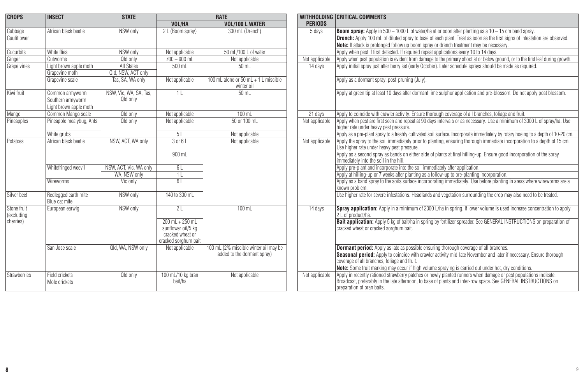| <b>CROPS</b>              | <b>INSECT</b>                         | <b>STATE</b>           |                                                                                       | <b>RATE</b>                                                          |                | <b>WITHHOLDING CRITICAL COMMENTS</b>                                                                                                                                                                                                                               |
|---------------------------|---------------------------------------|------------------------|---------------------------------------------------------------------------------------|----------------------------------------------------------------------|----------------|--------------------------------------------------------------------------------------------------------------------------------------------------------------------------------------------------------------------------------------------------------------------|
|                           |                                       |                        | VOL/HA                                                                                | <b>VOL/100 L WATER</b>                                               | <b>PERIODS</b> |                                                                                                                                                                                                                                                                    |
| Cabbage                   | African black beetle                  | NSW only               | 2 L (Boom spray)                                                                      | 300 mL (Drench)                                                      | 5 days         | <b>Boom spray:</b> Apply in 500 $-$ 1000 L of water/ha at or soon after planting as a 10 $-$ 15 cm band spray.                                                                                                                                                     |
| Cauliflower               |                                       |                        |                                                                                       |                                                                      |                | <b>Drench:</b> Apply 100 mL of diluted spray to base of each plant. Treat as soon as the first signs of infestation are observed.                                                                                                                                  |
|                           |                                       |                        |                                                                                       |                                                                      |                | <b>Note:</b> If attack is prolonged follow up boom spray or drench treatment may be necessary.                                                                                                                                                                     |
| Cucurbits                 | White flies                           | NSW only               | Not applicable                                                                        | 50 mL/100 L of water                                                 |                | Apply when pest if first detected. If required repeat applications every 10 to 14 days.                                                                                                                                                                            |
| Ginger                    | <b>Cutworms</b>                       | Qld only               | $700 - 900$ mL                                                                        | Not applicable                                                       | Not applicable | Apply when pest population is evident from damage to the primary shoot at or below ground, or to the first leaf during growth.                                                                                                                                     |
| Grape vines               | Light brown apple moth                | All States             | $500$ mL                                                                              | $50$ mL                                                              | 14 days        | Apply initial spray just after berry set (early October). Later schedule sprays should be made as required.                                                                                                                                                        |
|                           | Grapevine moth                        | Qld, NSW, ACT only     |                                                                                       |                                                                      |                |                                                                                                                                                                                                                                                                    |
|                           | Grapevine scale                       | Tas, SA, WA only       | Not applicable                                                                        | 100 mL alone or 50 mL + 1 L miscible<br>winter oil                   |                | Apply as a dormant spray, post-pruning (July).                                                                                                                                                                                                                     |
| Kiwi fruit                | Common armyworm                       | NSW. Vic. WA. SA. Tas. | 11                                                                                    | 50 mL                                                                |                | Apply at green tip at least 10 days after dormant lime sulphur application and pre-blossom. Do not apply post blossom.                                                                                                                                             |
|                           | Southern armworm                      | Qld only               |                                                                                       |                                                                      |                |                                                                                                                                                                                                                                                                    |
|                           | Light brown apple moth                |                        |                                                                                       |                                                                      |                |                                                                                                                                                                                                                                                                    |
| Mango                     | Common Mango scale                    | Old only               | Not applicable                                                                        | $100$ mL                                                             | 21 days        | Apply to coincide with crawler activity. Ensure thorough coverage of all branches, foliage and fruit.                                                                                                                                                              |
| Pineapples                | Pineapple mealybug, Ants              | Qld only               | Not applicable                                                                        | 50 or 100 ml                                                         | Not applicable | Apply when pest are first seen and repeat at 90 days intervals or as necessary. Use a minimum of 3000 L of spray/ha, Use                                                                                                                                           |
|                           |                                       |                        |                                                                                       |                                                                      |                | higher rate under heavy pest pressure.                                                                                                                                                                                                                             |
|                           | White arubs                           |                        | 5L                                                                                    | Not applicable                                                       |                | Apply as a pre-plant spray to a freshly cultivated soil surface. Incorporate immediately by rotary hoeing to a depth of 10-20 cm                                                                                                                                   |
| Potatoes                  | African black beetle                  | NSW, ACT, WA only      | 3 or 6 L                                                                              | Not applicable                                                       | Not applicable | Apply the spray to the soil immediately prior to planting, ensuring thorough immediate incorporation to a depth of 15 cm.<br>Use higher rate under heavy pest pressure.                                                                                            |
|                           |                                       |                        | 900 mL                                                                                |                                                                      |                | Apply as a second spray as bands on either side of plants at final hilling-up. Ensure good incorporation of the spray<br>immediately into the soil in the hill.                                                                                                    |
|                           | Whitefringed weevil                   | NSW, ACT, Vic. WA only | 6 L                                                                                   |                                                                      |                | Apply pre-plant and incorporate into the soil immediately after application.                                                                                                                                                                                       |
|                           |                                       | WA. NSW only           | 11                                                                                    |                                                                      |                | Apply at hilling-up or 7 weeks after planting as a follow-up to pre-planting incorporation.                                                                                                                                                                        |
|                           | Wireworms                             | Vic only               | 61                                                                                    |                                                                      |                | Apply as a band spray to the soils surface incorporating immediately. Use before planting in areas where wireworms are a<br>known problem.                                                                                                                         |
| Silver beet               | Redlegged earth mite<br>Blue oat mite | NSW only               | 140 to 300 ml                                                                         |                                                                      |                | Use higher rate for severe infestations. Headlands and vegetation surrounding the crop may also need to be treated.                                                                                                                                                |
| Stone fruit<br>(excluding | European earwig                       | NSW only               | $\overline{21}$                                                                       | $100$ ml                                                             | 14 days        | Spray application: Apply in a minimum of 2000 L/ha in spring. If lower volume is used increase concentration to apply<br>2 i of product/ha.                                                                                                                        |
| cherries)                 |                                       |                        | $200$ mL + $250$ mL<br>sunflower oil/5 kg<br>cracked wheat or<br>cracked sorghum bait |                                                                      |                | Bait application: Apply 5 kg of bait/ha in spring by fertilizer spreader. See GENERAL INSTRUCTIONS on preparation of<br>cracked wheat or cracked sorghum bait.                                                                                                     |
|                           | San Jose scale                        | Qld. WA. NSW only      | Not applicable                                                                        | 100 mL (2% miscible winter oil may be<br>added to the dormant spray) |                | <b>Dormant period:</b> Apply as late as possible ensuring thorough coverage of all branches.<br>Seasonal period: Apply to coincide with crawler activity mid-late November and later if necessary. Ensure thorough<br>coverage of all branches, foliage and fruit. |
|                           |                                       |                        |                                                                                       |                                                                      |                | Note: Some fruit marking may occur if high volume spraying is carried out under hot, dry conditions.                                                                                                                                                               |
| Strawberries              | Field crickets<br>Mole crickets       | Qld only               | 100 mL/10 kg bran<br>hait/ha                                                          | Not applicable                                                       | Not applicable | Apply in recently rationed strawberry patches or newly planted runners when damage or pest populations indicate.<br>Broadcast, preferably in the late afternoon, to base of plants and inter-row space. See GENERAL INSTRUCTIONS on<br>preparation of bran baits.  |

| INSECT                                | <b>RATE</b><br><b>STATE</b> |                                                                                       |                                                    | WITHHOLDING CRITICAL COMMENTS |                                                                                                                                                                                                                                                                   |  |
|---------------------------------------|-----------------------------|---------------------------------------------------------------------------------------|----------------------------------------------------|-------------------------------|-------------------------------------------------------------------------------------------------------------------------------------------------------------------------------------------------------------------------------------------------------------------|--|
|                                       |                             | VOL/HA                                                                                | <b>VOL/100 L WATER</b>                             | <b>PERIODS</b>                |                                                                                                                                                                                                                                                                   |  |
| African black beetle                  | NSW only                    | 2 L (Boom sprav)                                                                      | 300 mL (Drench)                                    | 5 days                        | <b>Boom spray:</b> Apply in 500 – 1000 L of water/ha at or soon after planting as a 10 – 15 cm band spray.                                                                                                                                                        |  |
|                                       |                             |                                                                                       |                                                    |                               | <b>Drench:</b> Apply 100 mL of diluted spray to base of each plant. Treat as soon as the first signs of infestation are observed.                                                                                                                                 |  |
|                                       |                             |                                                                                       |                                                    |                               | Note: If attack is prolonged follow up boom spray or drench treatment may be necessary.                                                                                                                                                                           |  |
| White flies                           | NSW only                    | Not applicable                                                                        | 50 mL/100 L of water                               |                               | Apply when pest if first detected. If required repeat applications every 10 to 14 days.                                                                                                                                                                           |  |
| Cutworms                              | Qld only                    | $700 - 900$ mL                                                                        | Not applicable                                     | Not applicable                | Apply when pest population is evident from damage to the primary shoot at or below ground, or to the first leaf during growth.                                                                                                                                    |  |
| Light brown apple moth                | <b>All States</b>           | 500 mL                                                                                | $50$ m                                             | 14 days                       | Apply initial spray just after berry set (early October). Later schedule sprays should be made as required.                                                                                                                                                       |  |
| Grapevine moth                        | Qld. NSW. ACT only          |                                                                                       |                                                    |                               |                                                                                                                                                                                                                                                                   |  |
| Grapevine scale                       | Tas, SA, WA only            | Not applicable                                                                        | 100 mL alone or 50 mL + 1 L miscible<br>winter oil |                               | Apply as a dormant spray, post-pruning (July).                                                                                                                                                                                                                    |  |
| Common armyworm                       | NSW. Vic. WA. SA. Tas.      | 11                                                                                    | $50$ ml                                            |                               | Apply at green tip at least 10 days after dormant lime sulphur application and pre-blossom. Do not apply post blossom.                                                                                                                                            |  |
| Southern armvworm                     | Qld only                    |                                                                                       |                                                    |                               |                                                                                                                                                                                                                                                                   |  |
| Light brown apple moth                |                             |                                                                                       |                                                    |                               |                                                                                                                                                                                                                                                                   |  |
| Common Mango scale                    | Qld only                    | Not applicable                                                                        | $100$ mL                                           | 21 days                       | Apply to coincide with crawler activity. Ensure thorough coverage of all branches, foliage and fruit.                                                                                                                                                             |  |
| Pineapple mealybug, Ants              | Old only                    | Not applicable                                                                        | 50 or 100 mL                                       | Not applicable                | Apply when pest are first seen and repeat at 90 days intervals or as necessary. Use a minimum of 3000 L of spray/ha. Use<br>higher rate under heavy pest pressure.                                                                                                |  |
| White grubs                           |                             | 5L                                                                                    | Not applicable                                     |                               | Apply as a pre-plant spray to a freshly cultivated soil surface. Incorporate immediately by rotary hoeing to a depth of 10-20 cm.                                                                                                                                 |  |
| African black beetle                  | NSW. ACT. WA only           | 3 or 6 L                                                                              | Not applicable                                     | Not applicable                | Apply the spray to the soil immediately prior to planting, ensuring thorough immediate incorporation to a depth of 15 cm.<br>Use higher rate under heavy pest pressure.                                                                                           |  |
|                                       |                             | 900 mL                                                                                |                                                    |                               | Apply as a second spray as bands on either side of plants at final hilling-up. Ensure good incorporation of the spray<br>immediately into the soil in the hill.                                                                                                   |  |
| Whitefringed weevil                   | NSW. ACT. Vic. WA only      | 6L                                                                                    |                                                    |                               | Apply pre-plant and incorporate into the soil immediately after application.                                                                                                                                                                                      |  |
|                                       | WA. NSW only                | 1 <sub>L</sub>                                                                        |                                                    |                               | Apply at hilling-up or 7 weeks after planting as a follow-up to pre-planting incorporation.                                                                                                                                                                       |  |
| Wireworms                             | Vic only                    | 61                                                                                    |                                                    |                               | Apply as a band spray to the soils surface incorporating immediately. Use before planting in areas where wireworms are a<br>known problem.                                                                                                                        |  |
| Redlegged earth mite<br>Blue oat mite | NSW only                    | 140 to 300 mL                                                                         |                                                    |                               | Use higher rate for severe infestations. Headlands and vegetation surrounding the crop may also need to be treated.                                                                                                                                               |  |
| European earwig                       | NSW only                    | 2L                                                                                    | $100$ mL                                           | 14 days                       | Spray application: Apply in a minimum of 2000 L/ha in spring. If lower volume is used increase concentration to apply<br>2   of product/ha.                                                                                                                       |  |
|                                       |                             | $200$ mL + $250$ mL<br>sunflower oil/5 kg<br>cracked wheat or<br>cracked sorghum bait |                                                    |                               | Bait application: Apply 5 kg of bait/ha in spring by fertilizer spreader. See GENERAL INSTRUCTIONS on preparation of<br>cracked wheat or cracked sorghum bait.                                                                                                    |  |
| San Jose scale                        | Qld. WA. NSW only           | Not applicable                                                                        | 100 mL (2% miscible winter oil may be              |                               | <b>Dormant period:</b> Apply as late as possible ensuring thorough coverage of all branches.                                                                                                                                                                      |  |
|                                       |                             |                                                                                       | added to the dormant spray)                        |                               | Seasonal period: Apply to coincide with crawler activity mid-late November and later if necessary. Ensure thorough<br>coverage of all branches, foliage and fruit.                                                                                                |  |
|                                       |                             |                                                                                       |                                                    |                               | Note: Some fruit marking may occur if high volume spraying is carried out under hot, dry conditions.                                                                                                                                                              |  |
| Field crickets<br>Mole crickets       | Qld only                    | 100 mL/10 kg bran<br>bait/ha                                                          | Not applicable                                     | Not applicable                | Apply in recently rationed strawberry patches or newly planted runners when damage or pest populations indicate.<br>Broadcast, preferably in the late afternoon, to base of plants and inter-row space. See GENERAL INSTRUCTIONS on<br>oreparation of bran baits. |  |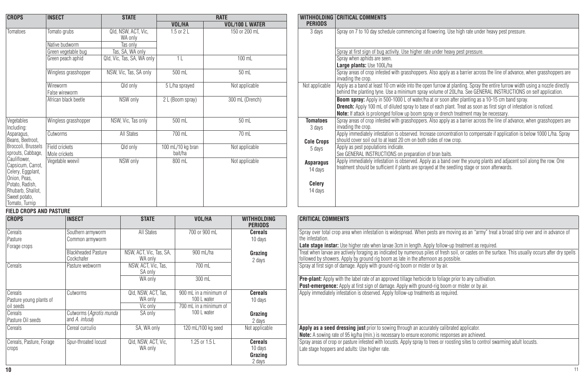| <b>CROPS</b>                                                                                                                                      | <b>INSECT</b>                   | <b>STATE</b>                   |                              | <b>RATE</b>            |                                                  | WITHHOLDING CRITICAL COMMENTS                                                                                                                                                                                                                                                                                    |
|---------------------------------------------------------------------------------------------------------------------------------------------------|---------------------------------|--------------------------------|------------------------------|------------------------|--------------------------------------------------|------------------------------------------------------------------------------------------------------------------------------------------------------------------------------------------------------------------------------------------------------------------------------------------------------------------|
|                                                                                                                                                   |                                 |                                | VOL/HA                       | <b>VOL/100 L WATER</b> | <b>PERIODS</b>                                   |                                                                                                                                                                                                                                                                                                                  |
| Tomatoes                                                                                                                                          | Tomato grubs                    | Qld, NSW, ACT, Vic,<br>WA only | 1.5 or 2 L                   | 150 or 200 mL          | 3 days                                           | Spray on 7 to 10 day schedule commencing at flowering. Use high rate under heavy pest pressure.                                                                                                                                                                                                                  |
|                                                                                                                                                   | Native budworm                  | Tas only                       |                              |                        |                                                  |                                                                                                                                                                                                                                                                                                                  |
|                                                                                                                                                   | Green vegetable bug             | Tas, SA, WA only               |                              |                        |                                                  | Spray at first sign of bug activity. Use higher rate under heavy pest pressure.                                                                                                                                                                                                                                  |
|                                                                                                                                                   | Green peach aphid               | Qld, Vic, Tas, SA, WA only     | 11                           | 100 mL                 |                                                  | Spray when aphids are seen.<br>Large plants: Use 100L/ha                                                                                                                                                                                                                                                         |
|                                                                                                                                                   | Wingless grasshopper            | NSW, Vic. Tas, SA only         | 500 mL                       | 50 mL                  |                                                  | Spray areas of crop infested with grasshoppers. Also apply as a barrier across the line of advance, v<br>invading the crop.                                                                                                                                                                                      |
|                                                                                                                                                   | Wireworm<br>False wireworm      | Qld only                       | 5 L/ha sprayed               | Not applicable         | Not applicable                                   | Apply as a band at least 10 cm wide into the open furrow at planting. Spray the entire furrow width u<br>behind the planting tyne. Use a minimum spray volume of 20L/ha. See GENERAL INSTRUCTIONS of                                                                                                             |
|                                                                                                                                                   | African black beetle            | NSW only                       | 2 L (Boom spray)             | 300 mL (Drench)        |                                                  | <b>Boom spray:</b> Apply in 500-1000 L of water/ha at or soon after planting as a 10-15 cm band spray<br><b>Drench:</b> Apply 100 mL of diluted spray to base of each plant. Treat as soon as first sign of infestati<br>Note: If attack is prolonged follow up boom spray or drench treatment may be necessary. |
| Vegetables<br>Including:                                                                                                                          | Wingless grasshopper            | NSW, Vic, Tas only             | 500 mL                       | 50 mL                  | <b>Tomatoes</b><br>3 days                        | Spray areas of crop infested with grasshoppers. Also apply as a barrier across the line of advance, v<br>invading the crop.                                                                                                                                                                                      |
| Asparagus,<br>Beans, Beetroot,                                                                                                                    | Cutworms                        | All States                     | 700 mL                       | 70 mL                  | <b>Cole Crops</b>                                | Apply immediately infestation is observed. Increase concentration to compensate if application is be<br>should cover soil out to at least 20 cm on both sides of row crop.                                                                                                                                       |
| Broccoli, Brussels<br>sprouts, Cabbage,                                                                                                           | Field crickets<br>Mole crickets | Qld only                       | 100 mL/10 kg bran<br>bait/ha | Not applicable         | 5 days                                           | Apply as pest populations indicate.<br>See GENERAL INSTRUCTIONS on preparation of bran baits.                                                                                                                                                                                                                    |
| Cauliflower,<br>Capsicum, Carrot,<br>Celery, Eggplant,<br>Onion, Peas,<br>Potato, Radish,<br>Rhubarb, Shallot,<br>Sweet potato,<br>Tomato, Turnip | Vegetable weevil                | NSW only                       | 800 mL                       | Not applicable         | <b>Asparagus</b><br>14 days<br>Celery<br>14 days | Apply immediately infestation is observed. Apply as a band over the young plants and adjacent soil<br>treatment should be sufficient if plants are sprayed at the seedling stage or soon afterwards.                                                                                                             |

#### **FIELD CROPS AND PASTURE**

| <b>CROPS</b>             | <b>INSECT</b>              | <b>STATE</b>            | VOL/HA                 | <b>WITHHOLDING</b><br><b>PERIODS</b> | <b>CRITICAL COMMENTS</b>                                                                                |
|--------------------------|----------------------------|-------------------------|------------------------|--------------------------------------|---------------------------------------------------------------------------------------------------------|
| Cereals                  | Southern armyworm          | All States              | 700 or 900 mL          | <b>Cereals</b>                       | Spray over total crop area when infestation is widespread. When pests are moving as an "are             |
| Pasture                  | Common armyworm            |                         |                        | 10 days                              | the infestation.                                                                                        |
| Forage crops             |                            |                         |                        |                                      | Late stage instar: Use higher rate when larvae 3cm in length. Apply follow-up treatment as              |
|                          | <b>Blackheaded Pasture</b> | NSW, ACT, Vic, Tas, SA, | 900 mL/ha              | Grazing                              | Treat when larvae are actively foraging as indicated by numerous piles of fresh soil, or castes         |
|                          | Cockchafer                 | WA only                 |                        | 2 days                               | followed by showers. Apply by ground rig boom as late in the afternoon as possible.                     |
| Cereals                  | Pasture webworm            | NSW, ACT, Vic, Tas,     | 700 mL                 |                                      | Spray at first sign of damage. Apply with ground-rig boom or mister or by air.                          |
|                          |                            | SA only                 |                        |                                      |                                                                                                         |
|                          |                            | WA only                 | 300 mL                 |                                      | <b>Pre-plant:</b> Apply with the label rate of an approved tillage herbicide to foliage prior to any cu |
|                          |                            |                         |                        |                                      | <b>Post-emergence:</b> Apply at first sign of damage. Apply with ground-rig boom or mister or b         |
| Cereals                  | Cutworms                   | Qld, NSW, ACT, Tas,     | 900 mL in a minimum of | <b>Cereals</b>                       | Apply immediately infestation is observed. Apply follow-up treatments as required.                      |
| Pasture young plants of  |                            | WA only                 | 100 L water            | 10 days                              |                                                                                                         |
| oil seeds                |                            | Vic only                | 700 mL in a minimum of |                                      |                                                                                                         |
| Cereals                  | Cutworms (Agrotis munda    | SA only                 | 100 L water            | Grazing                              |                                                                                                         |
| Pasture Oil seeds        | and A. infusa)             |                         |                        | 2 days                               |                                                                                                         |
| Cereals                  | Cereal curculio            | SA, WA only             | 120 mL/100 kg seed     | Not applicable                       | Apply as a seed dressing just prior to sowing through an accurately calibrated applicator.              |
|                          |                            |                         |                        |                                      | Note: A sowing rate of 95 kg/ha (min.) is necessary to ensure economic responses are achieved.          |
| Cereals, Pasture, Forage | Spur-throated locust       | Qld, NSW, ACT, Vic,     | $1.25$ or $1.5$ L      | <b>Cereals</b>                       | Spray areas of crop or pasture infested with locusts. Apply spray to trees or roosting sites to c       |
| crops                    |                            | WA only                 |                        | 10 days                              | Late stage hoppers and adults: Use higher rate.                                                         |
|                          |                            |                         |                        | Grazing                              |                                                                                                         |
|                          |                            |                         |                        | 2 days                               |                                                                                                         |

| INSECT                          | <b>STATE</b>                   |                              | <b>RATE</b>            |                           | WITHHOLDING CRITICAL COMMENTS                                                                                                                                                                                                                                                                                                   |
|---------------------------------|--------------------------------|------------------------------|------------------------|---------------------------|---------------------------------------------------------------------------------------------------------------------------------------------------------------------------------------------------------------------------------------------------------------------------------------------------------------------------------|
|                                 |                                | VOL/HA                       | <b>VOL/100 L WATER</b> | <b>PERIODS</b>            |                                                                                                                                                                                                                                                                                                                                 |
| Tomato grubs                    | Qld, NSW, ACT, Vic,<br>WA only | 1.5 or 2 L                   | 150 or 200 mL          | 3 days                    | Spray on 7 to 10 day schedule commencing at flowering. Use high rate under heavy pest pressure.                                                                                                                                                                                                                                 |
| Native budworm                  | Tas only                       |                              |                        |                           |                                                                                                                                                                                                                                                                                                                                 |
| Green vegetable bug             | Tas, SA, WA only               |                              |                        |                           | Spray at first sign of bug activity. Use higher rate under heavy pest pressure.                                                                                                                                                                                                                                                 |
| Green peach aphid               | Qld, Vic, Tas, SA, WA only     | 1 <sub>L</sub>               | 100 mL                 |                           | Spray when aphids are seen.<br>Large plants: Use 100L/ha                                                                                                                                                                                                                                                                        |
| Wingless grasshopper            | NSW, Vic, Tas, SA only         | 500 mL                       | 50 mL                  |                           | Spray areas of crop infested with grasshoppers. Also apply as a barrier across the line of advance, when grasshoppers are<br>invading the crop.                                                                                                                                                                                 |
| Wireworm<br>False wireworm      | Qld only                       | 5 L/ha sprayed               | Not applicable         | Not applicable            | Apply as a band at least 10 cm wide into the open furrow at planting. Spray the entire furrow width using a nozzle directly<br>behind the planting tyne. Use a minimum spray volume of 20L/ha. See GENERAL INSTRUCTIONS on self application.                                                                                    |
| African black beetle            | NSW only                       | 2 L (Boom spray)             | 300 mL (Drench)        |                           | <b>Boom spray:</b> Apply in 500-1000 L of water/ha at or soon after planting as a 10-15 cm band spray.<br><b>Drench:</b> Apply 100 mL of diluted spray to base of each plant. Treat as soon as first sign of infestation is noticed.<br>Note: If attack is prolonged follow up boom spray or drench treatment may be necessary. |
| Wingless grasshopper            | NSW, Vic, Tas only             | 500 mL                       | $50$ mL                | <b>Tomatoes</b><br>3 days | Spray areas of crop infested with grasshoppers. Also apply as a barrier across the line of advance, when grasshoppers are<br>invading the crop.                                                                                                                                                                                 |
| Cutworms                        | All States                     | 700 mL                       | 70 mL                  | <b>Cole Crops</b>         | Apply immediately infestation is observed. Increase concentration to compensate if application is below 1000 L/ha. Spray<br>should cover soil out to at least 20 cm on both sides of row crop.                                                                                                                                  |
| Field crickets<br>Mole crickets | Qld only                       | 100 mL/10 kg bran<br>bait/ha | Not applicable         | 5 days                    | Apply as pest populations indicate.<br>See GENERAL INSTRUCTIONS on preparation of bran baits.                                                                                                                                                                                                                                   |
| Vegetable weevil                | NSW only                       | 800 mL                       | Not applicable         | Asparagus<br>14 days      | Apply immediately infestation is observed. Apply as a band over the young plants and adjacent soil along the row. One<br>treatment should be sufficient if plants are sprayed at the seedling stage or soon afterwards.                                                                                                         |
|                                 |                                |                              |                        | Celery<br>14 days         |                                                                                                                                                                                                                                                                                                                                 |
|                                 |                                |                              |                        |                           |                                                                                                                                                                                                                                                                                                                                 |

| <b>STATE</b>                 | VOL/HA                 | <b>WITHHOLDING</b><br><b>PERIODS</b> | <b>CRITICAL COMMENTS</b>                                                                                                                                                                                                                    |
|------------------------------|------------------------|--------------------------------------|---------------------------------------------------------------------------------------------------------------------------------------------------------------------------------------------------------------------------------------------|
| <b>All States</b>            | 700 or 900 mL          | <b>Cereals</b><br>10 days            | Spray over total crop area when infestation is widespread. When pests are moving as an "army" treat a broad strip over and in advance of<br>the infestation.                                                                                |
|                              |                        |                                      | Late stage instar: Use higher rate when larvae 3cm in length. Apply follow-up treatment as required.                                                                                                                                        |
| CT. Vic, Tas, SA,<br>WA only | 900 mL/ha              | Grazing<br>2 days                    | Treat when larvae are actively foraging as indicated by numerous piles of fresh soil, or castes on the surface. This usually occurs after dry spells<br>followed by showers. Apply by ground rig boom as late in the afternoon as possible. |
| ACT. Vic. Tas.<br>SA only    | 700 mL                 |                                      | Spray at first sign of damage. Apply with ground-rig boom or mister or by air.                                                                                                                                                              |
| WA only                      | 300 mL                 |                                      | <b>Pre-plant:</b> Apply with the label rate of an approved tillage herbicide to foliage prior to any cultivation.<br>Post-emergence: Apply at first sign of damage. Apply with ground-rig boom or mister or by air.                         |
| ISW, ACT, Tas.               | 900 mL in a minimum of | <b>Cereals</b>                       | Apply immediately infestation is observed. Apply follow-up treatments as required.                                                                                                                                                          |
| WA only                      | 100 L water            | 10 days                              |                                                                                                                                                                                                                                             |
| Vic only                     | 700 mL in a minimum of |                                      |                                                                                                                                                                                                                                             |
| SA only                      | 100 L water            | Grazing                              |                                                                                                                                                                                                                                             |
|                              |                        | 2 days                               |                                                                                                                                                                                                                                             |
| A, WA only                   | 120 mL/100 kg seed     | Not applicable                       | Apply as a seed dressing just prior to sowing through an accurately calibrated applicator.                                                                                                                                                  |
|                              |                        |                                      | Note: A sowing rate of 95 kg/ha (min.) is necessary to ensure economic responses are achieved.                                                                                                                                              |
| ISW. ACT. Vic.<br>WA onlv    | 1.25 or $1.5$ L        | Cereals<br>10 days<br>Crozina        | Spray areas of crop or pasture infested with locusts. Apply spray to trees or roosting sites to control swarming adult locusts.<br>Late stage hoppers and adults: Use higher rate.                                                          |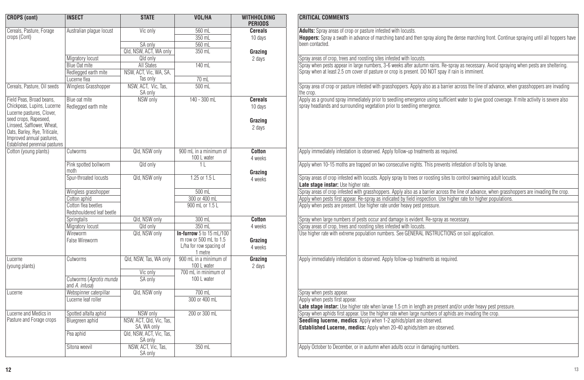| <b>CROPS (cont)</b>                                     | <b>INSECT</b>             | <b>STATE</b>                   | <b>VOL/HA</b>                         | <b>WITHHOLDING</b><br><b>PERIODS</b> |
|---------------------------------------------------------|---------------------------|--------------------------------|---------------------------------------|--------------------------------------|
| Cereals, Pasture, Forage                                | Australian plaque locust  | Vic only                       | 560 mL                                | <b>Cereals</b>                       |
| crops (Cont)                                            |                           |                                | 350 mL                                | 10 days                              |
|                                                         |                           | SA only                        | 560 mL                                |                                      |
|                                                         |                           | Qld, NSW, ACT, WA only         | $350$ ml                              | Grazing                              |
|                                                         | Migratory locust          | Qld only                       |                                       | 2 days                               |
|                                                         | Blue Oat mite             | All States                     | $140$ ml                              |                                      |
|                                                         | Redlegged earth mite      | NSW. ACT. Vic. WA. SA.         |                                       |                                      |
|                                                         | Lucerne flea              | Tas only                       | 70 mL                                 |                                      |
| Cereals, Pasture, Oil seeds                             | Wingless Grasshopper      | NSW, ACT. Vic. Tas.<br>SA only | 500 mL                                |                                      |
| Field Peas, Broad beans,                                | Blue oat mite             | NSW only                       | $140 - 300$ mL                        | Cereals                              |
| Chickpeas, Lupins, Lucerne                              | Redlegged earth mite      |                                |                                       | 10 days                              |
| Lucerne pastures, Clover,                               |                           |                                |                                       |                                      |
| seed crops, Rapeseed,                                   |                           |                                |                                       | Grazing                              |
| Linseed. Safflower. Wheat.                              |                           |                                |                                       | 2 days                               |
| Oats, Barley, Rye, Triticale,                           |                           |                                |                                       |                                      |
| Improved annual pastures,                               |                           |                                |                                       |                                      |
| Established perennial pastures<br>Cotton (young plants) |                           | Qld. NSW only                  | 900 ml in a minimum of                | Cotton                               |
|                                                         | Cutworms                  |                                | 100 L water                           | 4 weeks                              |
|                                                         | Pink spotted bollworm     | Qld only                       | 11                                    |                                      |
|                                                         | moth                      |                                |                                       |                                      |
|                                                         | Sour-throated locusts     | Qld, NSW only                  | $1.25$ or $1.5L$                      | Grazing<br>4 weeks                   |
|                                                         |                           |                                |                                       |                                      |
|                                                         | Wingless grasshopper      |                                | 500 mL                                |                                      |
|                                                         | Cotton aphid              |                                | 300 or 400 mL                         |                                      |
|                                                         | Cotton flea beetles       |                                | 900 mL or 1.5 L                       |                                      |
|                                                         | Redshouldered leaf beetle |                                |                                       |                                      |
|                                                         | Springtails               | Qld, NSW only                  | 300 mL                                | Cotton                               |
|                                                         | Migratory locust          | Qld only                       | 350 mL                                | 4 weeks                              |
|                                                         | Wireworm                  | Qld, NSW only                  | In-furrow 5 to 15 mL/100              |                                      |
|                                                         | False Wireworm            |                                | m row or 500 mL to 1.5                | Grazino                              |
|                                                         |                           |                                | L/ha for row spacing of               | 4 weeks                              |
|                                                         |                           |                                | 1 metre                               |                                      |
| Lucerne<br>(young plants)                               | Cutworms                  | Qld, NSW, Tas, WA only         | 900 mL in a minimum of<br>100 L water | Grazing<br>2 days                    |
|                                                         |                           | Vic only                       | 700 ml in minimum of                  |                                      |
|                                                         | Cutworms (Agrotis munda   | SA only                        | 100 L water                           |                                      |
|                                                         | and A. infusa)            |                                |                                       |                                      |
| Lucerne                                                 | Webspinner caterpillar    | Qld. NSW only                  | 700 mL                                |                                      |
|                                                         | Lucerne leaf roller       |                                | 300 or 400 mL                         |                                      |
|                                                         |                           |                                |                                       |                                      |
| Lucerne and Medics in                                   | Spotted alfalfa aphid     | NSW only                       | 200 or 300 mL                         |                                      |
| Pasture and Forage crops                                | Bluegreen aphid           | NSW, ACT, Qld, Vic, Tas,       |                                       |                                      |
|                                                         |                           | SA, WA only                    |                                       |                                      |
|                                                         | Pea aphid                 | Qld, NSW, ACT, Vic, Tas,       |                                       |                                      |
|                                                         |                           | SA only                        |                                       |                                      |
|                                                         | Sitona weevil             | NSW, ACT, Vic, Tas,            | $350$ ml                              |                                      |
|                                                         |                           | SA only                        |                                       |                                      |

## **CRITICAL COMMENTS Adults:** Spray areas of crop or pasture infested with locusts. **Hoppers:** Spray a swath in advance of marching band and then spray along the dense marching front. Continue spraying until all hoppers have been contacted. Spray areas of crop, trees and roosting sites infested with locusts. Spray when pests appear in large numbers, 3-6 weeks after autumn rains. Re-spray as necessary. Avoid spraying when pests are sheltering. Spray when at least 2.5 cm cover of pasture or crop is present. DO NOT spay if rain is imminent. Spray area of crop or pasture infested with grasshoppers. Apply also as a barrier across the line of advance, when grasshoppers are invading the crop. Apply as a ground spray immediately prior to seedling emergence using sufficient water to give good coverage. If mite activity is severe also spray headlands and surrounding vegetation prior to seedling emergence. Apply immediately infestation is observed. Apply follow-up treatments as required. Apply when 10-15 moths are trapped on two consecutive nights. This prevents infestation of bolls by larvae. Spray areas of crop infested with locusts. Apply spray to trees or roosting sites to control swarming adult locusts. **Late stage instar:** Use higher rate. Spray areas of crop infested with grasshoppers. Apply also as a barrier across the line of advance, when grasshoppers are invading the crop. Apply when pests first appear. Re-spray as indicated by field inspection. Use higher rate for higher populations. Apply when pests are present. Use higher rate under heavy pest pressure. Spray when large numbers of pests occur and damage is evident. Re-spray as necessary. Spray areas of crop, trees and roosting sites infested with locusts. Use higher rate with extreme population numbers. See GENERAL INSTRUCTIONS on soil application. Apply immediately infestation is observed. Apply follow-up treatments as required. Sprav when pests appear. Apply when pests first appear. **Late stage instar:** Use higher rate when larvae 1.5 cm in length are present and/or under heavy pest pressure. Spray when aphids first appear. Use the higher rate when large numbers of aphids are invading the crop. **Seedling lucerne, medics:** Apply when 1-2 aphids/plant are observed. **Established Lucerne, medics:** Apply when 20-40 aphids/stem are observed. Apply October to December, or in autumn when adults occur in damaging numbers.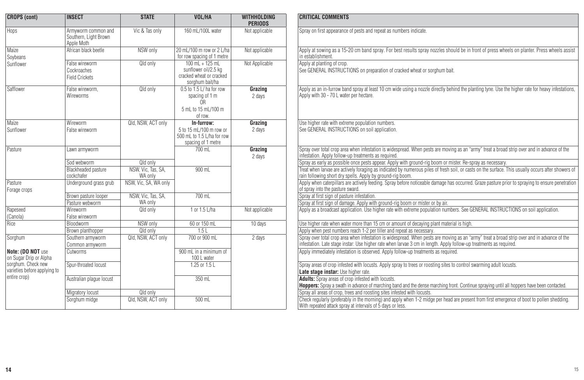| <b>CROPS (cont)</b>                                | <b>INSECT</b>                                              | <b>STATE</b>                  | VOL/HA                                                                                         | <b>WITHHOLDING</b><br><b>PERIODS</b> | <b>CRITICAL COMMENTS</b>                                                                                                                                                                                                                                            |
|----------------------------------------------------|------------------------------------------------------------|-------------------------------|------------------------------------------------------------------------------------------------|--------------------------------------|---------------------------------------------------------------------------------------------------------------------------------------------------------------------------------------------------------------------------------------------------------------------|
| Hops                                               | Armyworm common and<br>Southern, Light Brown<br>Apple Moth | Vic & Tas only                | 160 mL/100L water                                                                              | Not applicable                       | Spray on first appearance of pests and repeat as numbers indicate.                                                                                                                                                                                                  |
| Maize<br>Soybeans                                  | African black beetle                                       | NSW only                      | 20 mL/100 m row or 2 L/ha<br>for row spacing of 1 metre                                        | Not applicable                       | Apply at sowing as a 15-20 cm band spray. For best results spray nozzles should be in front of press wheels on planter. Press wheels assist<br>in establishment                                                                                                     |
| Sunflower                                          | False wireworm<br>Cockroaches<br><b>Field Crickets</b>     | Qld only                      | $100$ mL + $125$ mL<br>sunflower oil/2.5 kg<br>cracked wheat or cracked<br>sorghum bait/ha     | Not Applicable                       | Apply at planting of crop.<br>See GENERAL INSTRUCTIONS on preparation of cracked wheat or sorghum bait.                                                                                                                                                             |
| Safflower                                          | False wireworm.<br>Wireworms                               | Qld only                      | 0.5 to 1.5 L/ha for row<br>spacing of 1 m<br>0 <sub>R</sub><br>5 ml to 15 ml /100 m<br>of row. | Grazing<br>2 days                    | Apply as an in-furrow band spray at least 10 cm wide using a nozzle directly behind the planting tyne. Use the higher rate for heavy infestations,<br>Apply with 30 - 70 L water per hectare.                                                                       |
| Maize<br>Sunflower                                 | Wireworm<br>False wireworm                                 | Qld, NSW, ACT only            | In-furrow:<br>5 to 15 ml /100 m row or<br>500 mL to 1.5 L/ha for row<br>spacing of 1 metre     | Grazing<br>2 days                    | Use higher rate with extreme population numbers.<br>See GENERAL INSTRUCTIONS on soil application.                                                                                                                                                                   |
| Pasture                                            | Lawn armyworm                                              |                               | $700$ ml                                                                                       | Grazing<br>2 days                    | Spray over total crop area when infestation is widespread. When pests are moving as an "army" treat a broad strip over and in advance of the<br>infestation. Apply follow-up treatments as required                                                                 |
|                                                    | Sod webworm                                                | Old only                      |                                                                                                |                                      | Spray as early as possible once pests appear. Apply with ground-rig boom or mister. Re-spray as necessary.                                                                                                                                                          |
|                                                    | <b>Blackheaded pasture</b><br>cockchafer                   | NSW, Vic, Tas, SA,<br>WA only | $900$ ml                                                                                       |                                      | Treat when larvae are actively foraging as indicated by numerous piles of fresh soil, or casts on the surface. This usually occurs after showers of<br>rain following short dry spells. Apply by ground-rig boom.                                                   |
| Pasture<br>Forage crops                            | Underground grass grub                                     | NSW, Vic. SA, WA only         |                                                                                                |                                      | Apply when caterpillars are actively feeding. Spray before noticeable damage has occurred. Graze pasture prior to spraying to ensure penetration<br>of spray into the pasture sward.                                                                                |
|                                                    | Brown pasture looper                                       | NSW, Vic, Tas, SA,            | $700$ ml                                                                                       |                                      | Spray at first sign of pasture infestation.                                                                                                                                                                                                                         |
|                                                    | Pasture webworm                                            | WA only                       |                                                                                                |                                      | Spray at first sign of damage. Apply with ground-rig boom or mister or by air.                                                                                                                                                                                      |
| Rapeseed<br>(Canola)                               | Wireworm<br>False wireworm                                 | Qld only                      | 1 or 1.5 L/ha                                                                                  | Not applicable                       | Apply as a broadcast application. Use higher rate with extreme population numbers. See GENERAL INSTRUCTIONS on soil application.                                                                                                                                    |
| Rice                                               | Bloodworm                                                  | NSW only                      | 60 or 150 mL                                                                                   | 10 days                              | Use higher rate when water more than 15 cm or amount of decaying plant material is high.                                                                                                                                                                            |
|                                                    | Brown planthopper                                          | Old only                      | 1.5L                                                                                           |                                      | Apply when pest numbers reach 1-2 per tiller and repeat as necessary.                                                                                                                                                                                               |
| Sorghum                                            | Southern armyworm<br>Common armvworm                       | Qld, NSW, ACT only            | 700 or 900 mL                                                                                  | 2 days                               | Spray over total crop area when infestation is widespread. When pests are moving as an "army" treat a broad strip over and in advance of the<br>infestation. Late stage instar: Use higher rate when larvae 3 cm in length. Apply follow-up treatments as required. |
| Note: (DO NOT use<br>on Sugar Drip or Alpha        | Cutworms                                                   |                               | 900 mL in a minimum of<br>100 L water                                                          |                                      | Apply immediately infestation is observed. Apply follow-up treatments as required.                                                                                                                                                                                  |
| sorghum. Check new<br>varieties before applying to | Sour-throated locust                                       |                               | 1.25 or 1.5 L                                                                                  |                                      | Spray areas of crop infested with locusts. Apply spray to trees or roosting sites to control swarming adult locusts.<br>Late stage instar: Use higher rate.                                                                                                         |
| entire crop)                                       | Australian plaque locust                                   |                               | 350 mL                                                                                         |                                      | <b>Adults:</b> Spray areas of crop infested with locusts.<br>Hoppers: Spray a swath in advance of marching band and the dense marching front. Continue spraying until all hoppers have been contacted.                                                              |
|                                                    | <b>Migratory locust</b>                                    | Old only                      |                                                                                                |                                      | Spray all areas of crop, trees and roosting sites infested with locusts                                                                                                                                                                                             |
|                                                    | Sorghum midge                                              | Qld, NSW, ACT only            | 500 mL                                                                                         |                                      | Check regularly (preferably in the morning) and apply when 1-2 midge per head are present from first emergence of boot to pollen shedding.<br>With repeated attack spray at intervals of 5 days or less.                                                            |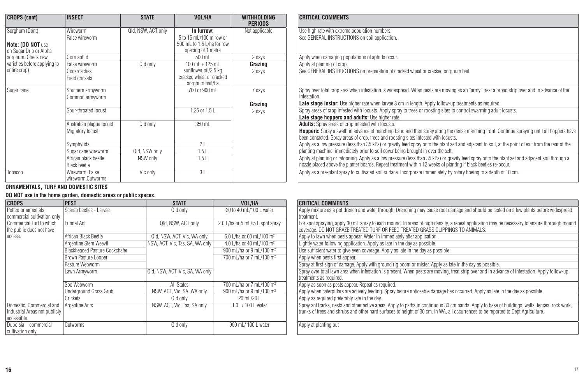| <b>CROPS (cont)</b>          | <b>INSECT</b>                        | <b>STATE</b>       | VOL/HA                                                              | WITHHOLDING<br><b>PERIODS</b> | CRITICAL COMMENTS                                                                                                                                                                                                                      |
|------------------------------|--------------------------------------|--------------------|---------------------------------------------------------------------|-------------------------------|----------------------------------------------------------------------------------------------------------------------------------------------------------------------------------------------------------------------------------------|
| Sorghum (Cont)               | Wireworm                             | Qld, NSW, ACT only | In furrow:                                                          | Not applicable                | Use high rate with extreme population numbers.                                                                                                                                                                                         |
|                              | False wireworm                       |                    | 5 to 15 mL/100 m row or                                             |                               | See GENERAL INSTRUCTIONS on soil application.                                                                                                                                                                                          |
| Note: (DO NOT use            |                                      |                    | 500 mL to 1.5 L/ha for row                                          |                               |                                                                                                                                                                                                                                        |
| on Sugar Drip or Alpha       |                                      |                    | spacing of 1 metre                                                  |                               |                                                                                                                                                                                                                                        |
| sorghum. Check new           | Corn aphid                           |                    | 500 mL                                                              | 2 days                        | Apply when damaging populations of aphids occur.                                                                                                                                                                                       |
| varieties before applying to | False wireworm                       | Qld only           | $100$ ml $+125$ ml                                                  | Grazing                       | Apply at planting of crop.                                                                                                                                                                                                             |
| entire crop)                 | Cockroaches<br>Field crickets        |                    | sunflower oil/2.5 kg<br>cracked wheat or cracked<br>sorghum bait/ha | 2 days                        | See GENERAL INSTRUCTIONS on preparation of cracked wheat or cracked sorghum bait.                                                                                                                                                      |
| Sugar cane                   | Southern armyworm<br>Common armyworm |                    | 700 or 900 mL                                                       | 7 days                        | Spray over total crop area when infestation is widespread. When pests are moving as an "army" treat a broad strip<br>infestation.                                                                                                      |
|                              |                                      |                    |                                                                     | Grazing                       | Late stage instar: Use higher rate when larvae 3 cm in length. Apply follow-up treatments as required.                                                                                                                                 |
|                              | Spur-throated locust                 |                    | 1.25 or 1.5 L                                                       | 2 days                        | Spray areas of crop infested with locusts. Apply spray to trees or roosting sites to control swarming adult locusts.                                                                                                                   |
|                              |                                      |                    |                                                                     |                               | Late stage hoppers and adults: Use higher rate.                                                                                                                                                                                        |
|                              | Australian plaque locust             | Qld only           | 350 mL                                                              |                               | <b>Adults:</b> Spray areas of crop infested with locusts.                                                                                                                                                                              |
|                              | Migratory locust                     |                    |                                                                     |                               | <b>Hoppers:</b> Spray a swath in advance of marching band and then spray along the dense marching front. Continue<br>been contacted. Spray areas of crop, trees and roosting sites infested with locusts.                              |
|                              | Symphylids                           |                    | 2L                                                                  |                               | Apply as a low pressure (less than 35 kPa) or gravity feed spray onto the plant sett and adjacent to soil, at the poi                                                                                                                  |
|                              | Sugar cane wireworm                  | Qld, NSW only      | 1.5L                                                                |                               | planting machine, immediately prior to soil cover being brought in over the sett.                                                                                                                                                      |
|                              | African black beetle<br>Black beetle | NSW only           | 1.5L                                                                |                               | Apply at planting or ratooning. Apply as a low pressure (less than 35 kPa) or gravity feed spray onto the plant set<br>nozzle placed above the planter boards. Repeat treatment within 12 weeks of planting if black beetles re-occur. |
| Tobacco                      | Wireworm, False<br>wireworm.Cutworms | Vic only           | 3L                                                                  |                               | Apply as a pre-plant spray to cultivated soil surface. Incorporate immediately by rotary hoeing to a depth of 10 cn                                                                                                                    |

#### **ORNAMENTALS, TURF AND DOMESTIC SITES**

## **DO NOT use in the home garden, domestic areas or public spaces.**

| <b>CROPS</b>                                         | <b>PEST</b>                    | <b>STATE</b>                    | VOL/HA                               | <b>CRITICAL COMMENTS</b>                                                                                                                                                                    |
|------------------------------------------------------|--------------------------------|---------------------------------|--------------------------------------|---------------------------------------------------------------------------------------------------------------------------------------------------------------------------------------------|
| Potted ornamentals<br>commercial cultivation only    | Scarab beetles - Larvae        | Old only                        | 20 to 40 mL/100 L water              | Apply mixture as a pot drench and water through. Drenching may cause root damage and should be tes<br>treatment.                                                                            |
| Commercial Turf to which<br>the public does not have | Funnel Ant                     | Qld, NSW, ACT only              | 2.0 L/ha or 5 mL/l5 L spot spray     | For spot spraying, apply 30 mL spray to each mound. In areas of high density, a repeat application may I<br>coverage. DO NOT GRAZE TREATED TURF OR FEED TREATED GRASS CLIPPINGS TO ANIMALS. |
| access.                                              | African Black Beetle           | Qld, NSW, ACT, Vic, WA only     | 6.0 L/ha or 60 mL/100 m <sup>2</sup> | Apply to lawn when pests appear. Water in immediately after application.                                                                                                                    |
|                                                      | Argentine Stem Weevil          | NSW, ACT, Vic, Tas, SA, WA only | 4.0 L/ha or 40 mL/100 m <sup>2</sup> | Lightly water following application. Apply as late in the day as possible.                                                                                                                  |
|                                                      | Blackheaded Pasture Cockchafer |                                 | 900 mL/ha or 9 mL/100 m <sup>2</sup> | Use sufficient water to give even coverage. Apply as late in the day as possible.                                                                                                           |
|                                                      | Brown Pasture Looper           |                                 | 700 mL/ha or 7 mL/100 m <sup>2</sup> | Apply when pests first appear.                                                                                                                                                              |
|                                                      | Pasture Webworm                |                                 |                                      | Spray at first sign of damage. Apply with ground rig boom or mister. Apply as late in the day as possible.                                                                                  |
|                                                      | Lawn Armyworm                  | QId, NSW, ACT, Vic, SA, WA only |                                      | Spray over total lawn area when infestation is present. When pests are moving, treat strip over and in adv<br>treatments as required.                                                       |
|                                                      | Sod Webworm                    | All States                      | 700 mL/ha or 7 mL/100 m <sup>2</sup> | Apply as soon as pests appear. Repeat as required.                                                                                                                                          |
|                                                      | Underground Grass Grub         | NSW, ACT, Vic, SA, WA only      | 900 mL/ha or 9 mL/100 m <sup>2</sup> | Apply when caterpillars are actively feeding. Spray before noticeable damage has occurred. Apply as late                                                                                    |
|                                                      | Crickets                       | Qld only                        | 20 mL/20 L                           | Apply as required preferably late in the day.                                                                                                                                               |
| Domestic, Commercial and                             | Argentine Ants                 | NSW, ACT, Vic, Tas, SA only     | 1.0 L/ 100 L water                   | Spray ant tracks, nests and other active areas. Apply to paths in continuous 30 cm bands. Apply to base                                                                                     |
| Industrial Areas not publicly<br>accessible          |                                |                                 |                                      | trunks of trees and shrubs and other hard surfaces to height of 30 cm. In WA, all occurrences to be report                                                                                  |
| Duboisia - commercial<br>cultivation only            | <b>Cutworms</b>                | Qld only                        | 900 mL/100 L water                   | Apply at planting out                                                                                                                                                                       |

| INSECT                               | <b>STATE</b>       | VOL/HA                                                                      | <b>WITHHOLDING</b><br><b>PERIODS</b> | <b>CRITICAL COMMENTS</b>                                                                                                                                                                                                                                           |
|--------------------------------------|--------------------|-----------------------------------------------------------------------------|--------------------------------------|--------------------------------------------------------------------------------------------------------------------------------------------------------------------------------------------------------------------------------------------------------------------|
| Wireworm                             | Qld, NSW, ACT only | In furrow:                                                                  | Not applicable                       | Use high rate with extreme population numbers.                                                                                                                                                                                                                     |
| False wireworm                       |                    | 5 to 15 mL/100 m row or<br>500 mL to 1.5 L/ha for row<br>spacing of 1 metre |                                      | See GENERAL INSTRUCTIONS on soil application.                                                                                                                                                                                                                      |
| Corn aphid                           |                    | 500 mL                                                                      | 2 days                               | Apply when damaging populations of aphids occur.                                                                                                                                                                                                                   |
| False wireworm                       | Qld only           | $100$ ml $+125$ ml                                                          | Grazing                              | Apply at planting of crop.                                                                                                                                                                                                                                         |
| Cockroaches<br>Field crickets        |                    | sunflower oil/2.5 kg<br>cracked wheat or cracked<br>sorghum bait/ha         | 2 days                               | See GENERAL INSTRUCTIONS on preparation of cracked wheat or cracked sorghum bait.                                                                                                                                                                                  |
| Southern armyworm<br>Common armvworm |                    | 700 or 900 mL                                                               | 7 days                               | Spray over total crop area when infestation is widespread. When pests are moving as an "army" treat a broad strip over and in advance of the<br>infestation.                                                                                                       |
|                                      |                    |                                                                             | Grazing                              | Late stage instar: Use higher rate when larvae 3 cm in length. Apply follow-up treatments as required.                                                                                                                                                             |
| Spur-throated locust                 |                    | 1.25 or 1.5 L                                                               | 2 days                               | Spray areas of crop infested with locusts. Apply spray to trees or roosting sites to control swarming adult locusts.<br>Late stage hoppers and adults: Use higher rate.                                                                                            |
| Australian plaque locust             | Qld only           | 350 mL                                                                      |                                      | <b>Adults:</b> Spray areas of crop infested with locusts.                                                                                                                                                                                                          |
| Migratory locust                     |                    |                                                                             |                                      | <b>Hoppers:</b> Spray a swath in advance of marching band and then spray along the dense marching front. Continue spraying until all hoppers have<br>been contacted. Spray areas of crop, trees and roosting sites infested with locusts.                          |
| Symphylids                           |                    | 2L                                                                          |                                      | Apply as a low pressure (less than 35 kPa) or gravity feed spray onto the plant sett and adjacent to soil, at the point of exit from the rear of the                                                                                                               |
| Sugar cane wireworm                  | Qld, NSW only      | 1.5L                                                                        |                                      | planting machine, immediately prior to soil cover being brought in over the sett.                                                                                                                                                                                  |
| African black beetle<br>Black beetle | NSW only           | 1.5L                                                                        |                                      | Apply at planting or ratooning. Apply as a low pressure (less than 35 kPa) or gravity feed spray onto the plant set and adjacent soil through a<br>nozzle placed above the planter boards. Repeat treatment within 12 weeks of planting if black beetles re-occur. |
| Wireworm, False<br>wireworm,Cutworms | Vic only           | 3L                                                                          |                                      | Apply as a pre-plant spray to cultivated soil surface. Incorporate immediately by rotary hoeing to a depth of 10 cm.                                                                                                                                               |

| <b>PEST</b>                    | <b>STATE</b>                    | VOL/HA                                 | <b>CRITICAL COMMENTS</b>                                                                                                                                                                                                                                                             |
|--------------------------------|---------------------------------|----------------------------------------|--------------------------------------------------------------------------------------------------------------------------------------------------------------------------------------------------------------------------------------------------------------------------------------|
| Scarab beetles - Larvae        | Qld only                        | 20 to 40 mL/100 L water                | Apply mixture as a pot drench and water through. Drenching may cause root damage and should be tested on a few plants before widespread<br>treatment.                                                                                                                                |
| Funnel Ant                     | Qld, NSW, ACT only              | 2.0 L/ha or 5 mL/l5 L spot spray       | For spot spraying, apply 30 mL spray to each mound. In areas of high density, a repeat application may be necessary to ensure thorough mound<br>coverage. DO NOT GRAZE TREATED TURF OR FEED TREATED GRASS CLIPPINGS TO ANIMALS.                                                      |
| African Black Beetle           | Qld, NSW, ACT, Vic, WA only     | 6.0 L/ha or 60 mL/100 m <sup>2</sup>   | Apply to lawn when pests appear. Water in immediately after application.                                                                                                                                                                                                             |
| Argentine Stem Weevil          | NSW, ACT, Vic, Tas, SA, WA only | 4.0 L/ha or 40 mL/100 m <sup>2</sup>   | Lightly water following application. Apply as late in the day as possible.                                                                                                                                                                                                           |
| Blackheaded Pasture Cockchafer |                                 | 900 mL/ha or 9 mL/100 m <sup>2</sup>   | Use sufficient water to give even coverage. Apply as late in the day as possible.                                                                                                                                                                                                    |
| Brown Pasture Looper           |                                 | 700 mL/ha or 7 mL/100 m <sup>2</sup>   | Apply when pests first appear.                                                                                                                                                                                                                                                       |
| Pasture Webworm                |                                 |                                        | Spray at first sign of damage. Apply with ground rig boom or mister. Apply as late in the day as possible.                                                                                                                                                                           |
| Lawn Armvworm                  | QId. NSW. ACT. Vic. SA. WA only |                                        | Spray over total lawn area when infestation is present. When pests are moving, treat strip over and in advance of infestation. Apply follow-up<br>treatments as required.                                                                                                            |
| Sod Webworm                    | All States                      | 700 ml /ha or 7 ml /100 m <sup>2</sup> | Apply as soon as pests appear. Repeat as required.                                                                                                                                                                                                                                   |
| Underground Grass Grub         | NSW, ACT, Vic, SA, WA only      | 900 mL/ha or 9 mL/100 m <sup>2</sup>   | Apply when caterpillars are actively feeding. Spray before noticeable damage has occurred. Apply as late in the day as possible.                                                                                                                                                     |
| Crickets                       | Qld only                        | 20 mL/20 L                             | Apply as required preferably late in the day.                                                                                                                                                                                                                                        |
| Argentine Ants                 | NSW, ACT, Vic, Tas, SA only     | 1.0 L/ 100 L water                     | Spray ant tracks, nests and other active areas. Apply to paths in continuous 30 cm bands. Apply to base of buildings, walls, fences, rock work,<br>trunks of trees and shrubs and other hard surfaces to height of 30 cm. In WA, all occurrences to be reported to Dept Agriculture. |
| Cutworms                       | Old only                        | 900 mL/ 100 L water                    | Apply at planting out                                                                                                                                                                                                                                                                |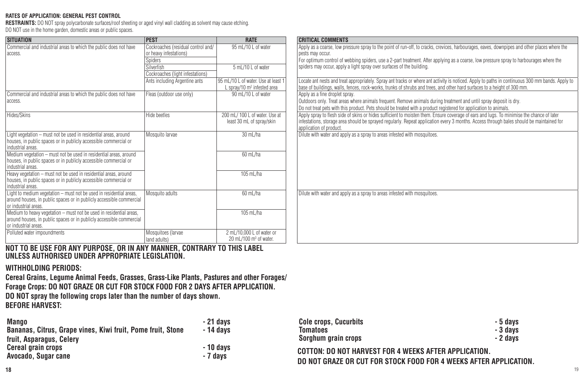#### **RATES OF APPLICATION: GENERAL PEST CONTROL**

**RESTRAINTS:** DO NOT spray polycarbonate surfaces/roof sheeting or aged vinyl wall cladding as solvent may cause etching.

DO NOT use in the home garden, domestic areas or public spaces.

| <b>SITUATION</b>                                                                                                                                                    | <b>PEST</b>                                                  | <b>RATE</b>                                                     | <b>CRITICAL COMMENTS</b>                                                                                                                                                                                                                                                                                         |
|---------------------------------------------------------------------------------------------------------------------------------------------------------------------|--------------------------------------------------------------|-----------------------------------------------------------------|------------------------------------------------------------------------------------------------------------------------------------------------------------------------------------------------------------------------------------------------------------------------------------------------------------------|
| Commercial and industrial areas to which the public does not have<br>access.                                                                                        | Cockroaches (residual control and/<br>or heavy infestations) | 95 mL/10 L of water                                             | Apply as a coarse, low pressure spray to the point of run-off, to cracks, crevices, harbourages, eaves, downpipes and other places where the<br>pests may occur.                                                                                                                                                 |
|                                                                                                                                                                     | <b>Spiders</b>                                               |                                                                 | For optimum control of webbing spiders, use a 2-part treatment. After applying as a coarse, low pressure spray to harbourages where the                                                                                                                                                                          |
|                                                                                                                                                                     | Silverfish                                                   | 5 ml /10 l of water                                             | spiders may occur, apply a light spray over surfaces of the building.                                                                                                                                                                                                                                            |
|                                                                                                                                                                     | Cockroaches (light infestations)                             | 95 mL/10 L of water. Use at least                               |                                                                                                                                                                                                                                                                                                                  |
|                                                                                                                                                                     | Ants including Argentine ants                                | L sprav/10 m <sup>2</sup> infested area                         | Locate ant nests and treat appropriately. Spray ant tracks or where ant activity is noticed. Apply to paths in continuous 300 mm bands. Apply to<br>base of buildings, walls, fences, rock-works, trunks of shrubs and trees, and other hard surfaces to a height of 300 mm.                                     |
| Commercial and industrial areas to which the public does not have                                                                                                   | Fleas (outdoor use only)                                     | 90 mL/10 L of water                                             | Apply as a fine droplet spray.                                                                                                                                                                                                                                                                                   |
| access.                                                                                                                                                             |                                                              |                                                                 | Outdoors only. Treat areas where animals frequent. Remove animals during treatment and until spray deposit is dry.                                                                                                                                                                                               |
|                                                                                                                                                                     |                                                              |                                                                 | Do not treat pets with this product. Pets should be treated with a product registered for application to animals.                                                                                                                                                                                                |
| Hides/Skins                                                                                                                                                         | Hide beetles                                                 | 200 mL/100 L of water. Use at<br>least 30 mL of spray/skin      | Apply spray to flesh side of skins or hides sufficient to moisten them. Ensure coverage of ears and lugs. To minimise the chance of later<br>infestations, storage area should be sprayed regularly. Repeat application every 3 months. Access through bales should be maintained for<br>application of product. |
| Light vegetation - must not be used in residential areas, around                                                                                                    | Mosquito larvae                                              | 30 mL/ha                                                        | Dilute with water and apply as a spray to areas infested with mosquitoes.                                                                                                                                                                                                                                        |
| houses, in public spaces or in publicly accessible commercial or<br>industrial areas.                                                                               |                                                              |                                                                 |                                                                                                                                                                                                                                                                                                                  |
| Medium vegetation - must not be used in residential areas, around<br>houses, in public spaces or in publicly accessible commercial or                               |                                                              | 60 mL/ha                                                        |                                                                                                                                                                                                                                                                                                                  |
| industrial areas.                                                                                                                                                   |                                                              |                                                                 |                                                                                                                                                                                                                                                                                                                  |
| Heavy vegetation - must not be used in residential areas, around<br>houses, in public spaces or in publicly accessible commercial or<br>industrial areas.           |                                                              | 105 mL/ha                                                       |                                                                                                                                                                                                                                                                                                                  |
| Light to medium vegetation - must not be used in residential areas,<br>around houses, in public spaces or in publicly accessible commercial<br>or industrial areas. | Mosquito adults                                              | 60 mL/ha                                                        | Dilute with water and apply as a spray to areas infested with mosquitoes.                                                                                                                                                                                                                                        |
| Medium to heavy vegetation - must not be used in residential areas,<br>around houses, in public spaces or in publicly accessible commercial<br>or industrial areas. |                                                              | $105$ mL/ha                                                     |                                                                                                                                                                                                                                                                                                                  |
| Polluted water impoundments                                                                                                                                         | Mosquitoes (larvae<br>land adults)                           | 2 mL/10.000 L of water or<br>20 mL/100 m <sup>3</sup> of water. |                                                                                                                                                                                                                                                                                                                  |

**NOT TO BE USE FOR ANY PURPOSE, OR IN ANY MANNER, CONTRARY TO THIS LABEL UNLESS AUTHORISED UNDER APPROPRIATE LEGISLATION.**

## **WITHHOLDING PERIODS:**

**Cereal Grains, Legume Animal Feeds, Grasses, Grass-Like Plants, Pastures and other Forages/ Forage Crops: DO NOT GRAZE OR CUT FOR STOCK FOOD FOR 2 DAYS AFTER APPLICATION. DO NOT spray the following crops later than the number of days shown. BEFORE HARVEST:**

| <b>Mango</b>                                                | · 21 davs                    | <b>Cole crops, Cucurbits</b>                                      | - 5 davs                                              |  |
|-------------------------------------------------------------|------------------------------|-------------------------------------------------------------------|-------------------------------------------------------|--|
| Bananas, Citrus, Grape vines, Kiwi fruit, Pome fruit, Stone | - 14 davs                    | Tomatoes                                                          | - 3 davs                                              |  |
| fruit, Asparagus, Celery                                    |                              | Sorghum grain crops                                               | - 2 davs                                              |  |
| <b>Cereal grain crops</b><br>Avocado, Sugar cane            | 10 days<br><sup>7</sup> days |                                                                   | COTTON: DO NOT HARVEST FOR 4 WEEKS AFTER APPLICATION. |  |
|                                                             |                              | DO NOT GRAZE OR CUT FOR STOCK FOOD FOR 4 WEEKS AFTER APPLICATION. |                                                       |  |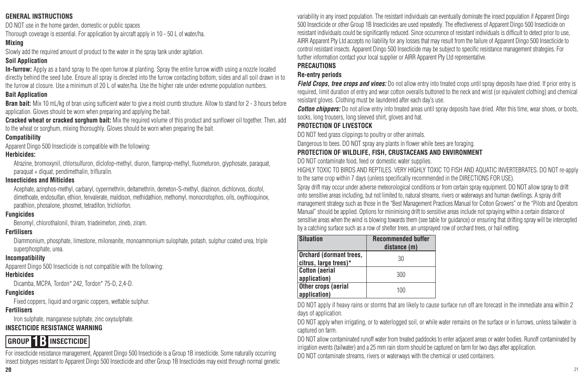## **GENERAL INSTRUCTIONS**

DO NOT use in the home garden, domestic or public spaces

Thorough coverage is essential. For application by aircraft apply in 10 - 50 L of water/ha.

## **Mixing**

Slowly add the required amount of product to the water in the spray tank under agitation.

## **Soil Application**

**In-furrow:** Apply as a band spray to the open furrow at planting. Spray the entire furrow width using a nozzle located directly behind the seed tube. Ensure all spray is directed into the furrow contacting bottom, sides and all soil drawn in to the furrow at closure. Use a minimum of 20 L of water/ha. Use the higher rate under extreme population numbers.

## **Bait Application**

**Bran bait:** Mix 10 mL/kg of bran using sufficient water to give a moist crumb structure. Allow to stand for 2 - 3 hours before application. Gloves should be worn when preparing and applying the bait.

**Cracked wheat or cracked sorghum bait:** Mix the required volume of this product and sunflower oil together. Then, add to the wheat or sorghum, mixing thoroughly. Gloves should be worn when preparing the bait.

## **Compatibility**

Apparent Dingo 500 Insecticide is compatible with the following:

## **Herbicides:**

Atrazine, bromoxynil, chlorsulfuron, diclofop-methyl, diuron, flamprop-methyl, fluometuron, glyphosate, paraquat, paraquat + diquat, pendimethalin, trifluralin.

## **Insecticides and Miticides**

Acephate, azinphos-methyl, carbaryl, cypermethrin, deltamethrin, demeton-S-methyl, diazinon, dichlorvos, dicofol, dimethoate, endosulfan, ethion, fenvalerate, maldison, methidathion, methomyl, monocrotophos, oils, oxythioquinox, parathion, phosalone, phosmet, tetradifon, trichlorfon.

## **Fungicides**

Benomyl, chlorothalonil, thiram, triadeimefon, zineb, ziram.

## **Fertilisers**

Diammonium, phosphate, limestone, miloreanite, monoammonium sulophate, potash, sulphur coated urea, triple superphosphate, urea.

## **Incompatibility**

Apparent Dingo 500 Insecticide is not compatible with the following:

## **Herbicides**

Dicamba, MCPA, Tordon\* 242, Tordon\* 75-D, 2,4-D.

## **Fungicides**

Fixed coppers, liquid and organic coppers, wettable sulphur.

## **Fertilisers**

Iron sulphate, manganese sulphate, zinc oxysulphate.

## **INSECTICIDE RESISTANCE WARNING**

# **GROUP 1B INSECTICIDE**

**20** 21 For insecticide resistance management, Apparent Dingo 500 Insecticide is a Group 1B insecticide. Some naturally occurring insect biotypes resistant to Apparent Dingo 500 Insecticide and other Group 1B Insecticides may exist through normal genetic

variability in any insect population. The resistant individuals can eventually dominate the insect population if Apparent Dingo 500 Insecticide or other Group 1B Insecticides are used repeatedly. The effectiveness of Apparent Dingo 500 Insecticide on resistant individuals could be significantly reduced. Since occurrence of resistant individuals is difficult to detect prior to use, AIRR Apparent Pty Ltd accepts no liability for any losses that may result from the failure of Apparent Dingo 500 Insecticide to control resistant insects. Apparent Dingo 500 Insecticide may be subject to specific resistance management strategies. For further information contact your local supplier or AIRR Apparent Pty Ltd representative.

## **PRECAUTIONS**

## **Re-entry periods**

*Field Crops, tree crops and vines:* Do not allow entry into treated crops until spray deposits have dried. If prior entry is required, limit duration of entry and wear cotton overalls buttoned to the neck and wrist (or equivalent clothing) and chemical resistant gloves. Clothing must be laundered after each day's use.

*Cotton chippers:* Do not allow entry into treated areas until spray deposits have dried. After this time, wear shoes, or boots, socks, long trousers, long sleeved shirt, gloves and hat.

## **PROTECTION OF LIVESTOCK**

DO NOT feed grass clippings to poultry or other animals.

Dangerous to bees. DO NOT spray any plants in flower while bees are foraging.

## **PROTECTION OF WILDLIFE, FISH, CRUSTACEANS AND ENVIRONMENT**

DO NOT contaminate food, feed or domestic water supplies.

HIGHLY TOXIC TO BIRDS AND REPTILES. VERY HIGHLY TOXIC TO FISH AND AQUATIC INVERTEBRATES. DO NOT re-apply to the same crop within 7 days (unless specifically recommended in the DIRECTIONS FOR USE).

Spray drift may occur under adverse meteorological conditions or from certain spray equipment. DO NOT allow spray to drift onto sensitive areas including, but not limited to, natural streams, rivers or waterways and human dwellings. A spray drift management strategy such as those in the "Best Management Practices Manual for Cotton Growers" or the "Pilots and Operators Manual" should be applied. Options for minimising drift to sensitive areas include not spraying within a certain distance of sensitive areas when the wind is blowing towards them (see table for guidance) or ensuring that drifting spray will be intercepted by a catching surface such as a row of shelter trees, an unsprayed row of orchard trees, or hail netting.

| <b>Situation</b>                                 | <b>Recommended buffer</b> |  |
|--------------------------------------------------|---------------------------|--|
|                                                  | distance (m)              |  |
| Orchard (dormant trees,<br>citrus, large trees)* | 30                        |  |
| <b>Cotton (aerial</b>                            | 300                       |  |
| application)                                     |                           |  |
| Other crops (aerial                              | 100                       |  |
| application)                                     |                           |  |

DO NOT apply if heavy rains or storms that are likely to cause surface run off are forecast in the immediate area within 2 days of application.

DO NOT apply when irrigating, or to waterlogged soil, or while water remains on the surface or in furrows, unless tailwater is captured on farm.

DO NOT allow contaminated runoff water from treated paddocks to enter adjacent areas or water bodies. Runoff contaminated by irrigation events (tailwater) and a 25 mm rain storm should be captured on farm for two days after application.

DO NOT contaminate streams, rivers or waterways with the chemical or used containers.